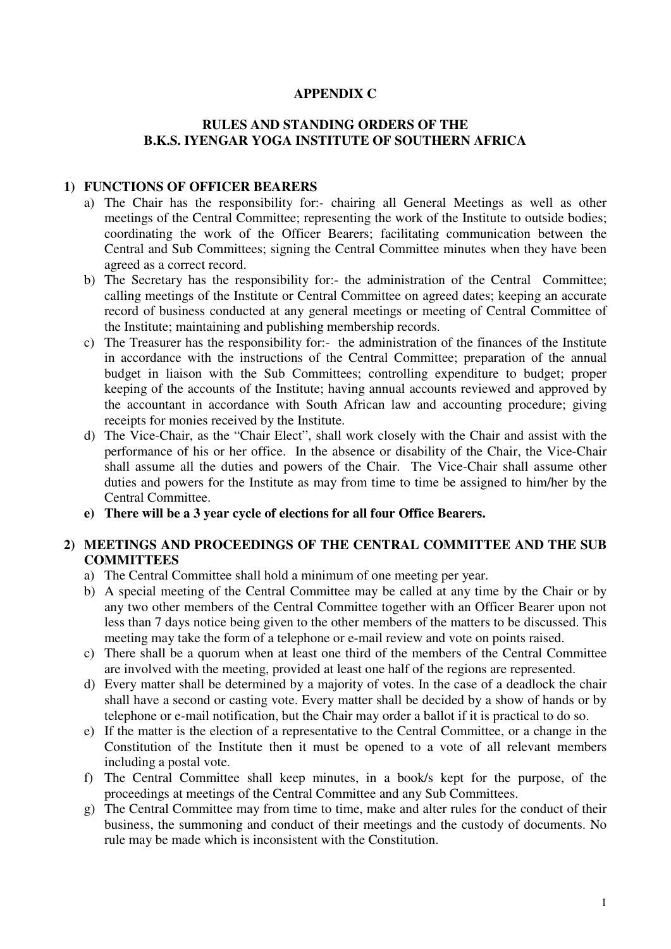### **APPENDIX C**

# **RULES AND STANDING ORDERS OF THE B.K.S. IYENGAR YOGA INSTITUTE OF SOUTHERN AFRICA**

#### **1) FUNCTIONS OF OFFICER BEARERS**

- a) The Chair has the responsibility for:- chairing all General Meetings as well as other meetings of the Central Committee; representing the work of the Institute to outside bodies; coordinating the work of the Officer Bearers; facilitating communication between the Central and Sub Committees; signing the Central Committee minutes when they have been agreed as a correct record.
- b) The Secretary has the responsibility for:- the administration of the Central Committee; calling meetings of the Institute or Central Committee on agreed dates; keeping an accurate record of business conducted at any general meetings or meeting of Central Committee of the Institute; maintaining and publishing membership records.
- c) The Treasurer has the responsibility for:- the administration of the finances of the Institute in accordance with the instructions of the Central Committee; preparation of the annual budget in liaison with the Sub Committees; controlling expenditure to budget; proper keeping of the accounts of the Institute; having annual accounts reviewed and approved by the accountant in accordance with South African law and accounting procedure; giving receipts for monies received by the Institute.
- d) The Vice-Chair, as the "Chair Elect", shall work closely with the Chair and assist with the performance of his or her office. In the absence or disability of the Chair, the Vice-Chair shall assume all the duties and powers of the Chair. The Vice-Chair shall assume other duties and powers for the Institute as may from time to time be assigned to him/her by the Central Committee.
- **e) There will be a 3 year cycle of elections for all four Office Bearers.**

## **2) MEETINGS AND PROCEEDINGS OF THE CENTRAL COMMITTEE AND THE SUB COMMITTEES**

- a) The Central Committee shall hold a minimum of one meeting per year.
- b) A special meeting of the Central Committee may be called at any time by the Chair or by any two other members of the Central Committee together with an Officer Bearer upon not less than 7 days notice being given to the other members of the matters to be discussed. This meeting may take the form of a telephone or e-mail review and vote on points raised.
- c) There shall be a quorum when at least one third of the members of the Central Committee are involved with the meeting, provided at least one half of the regions are represented.
- d) Every matter shall be determined by a majority of votes. In the case of a deadlock the chair shall have a second or casting vote. Every matter shall be decided by a show of hands or by telephone or e-mail notification, but the Chair may order a ballot if it is practical to do so.
- e) If the matter is the election of a representative to the Central Committee, or a change in the Constitution of the Institute then it must be opened to a vote of all relevant members including a postal vote.
- f) The Central Committee shall keep minutes, in a book/s kept for the purpose, of the proceedings at meetings of the Central Committee and any Sub Committees.
- g) The Central Committee may from time to time, make and alter rules for the conduct of their business, the summoning and conduct of their meetings and the custody of documents. No rule may be made which is inconsistent with the Constitution.